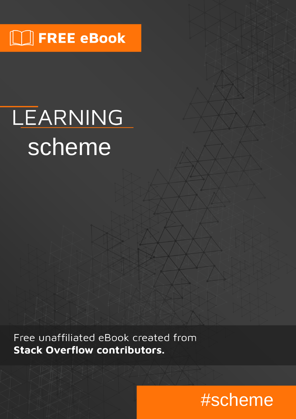# $\Box$  FREE eBook

# LEARNING scheme

Free unaffiliated eBook created from **Stack Overflow contributors.** 

# #scheme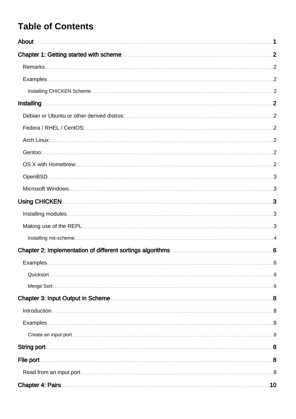# **Table of Contents**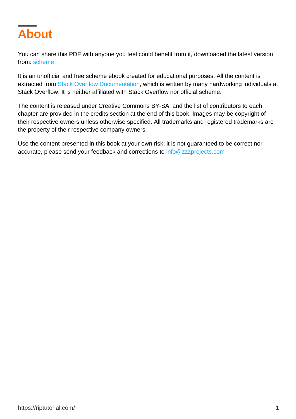<span id="page-3-0"></span>

You can share this PDF with anyone you feel could benefit from it, downloaded the latest version from: [scheme](http://riptutorial.com/ebook/scheme)

It is an unofficial and free scheme ebook created for educational purposes. All the content is extracted from [Stack Overflow Documentation,](https://archive.org/details/documentation-dump.7z) which is written by many hardworking individuals at Stack Overflow. It is neither affiliated with Stack Overflow nor official scheme.

The content is released under Creative Commons BY-SA, and the list of contributors to each chapter are provided in the credits section at the end of this book. Images may be copyright of their respective owners unless otherwise specified. All trademarks and registered trademarks are the property of their respective company owners.

Use the content presented in this book at your own risk; it is not guaranteed to be correct nor accurate, please send your feedback and corrections to [info@zzzprojects.com](mailto:info@zzzprojects.com)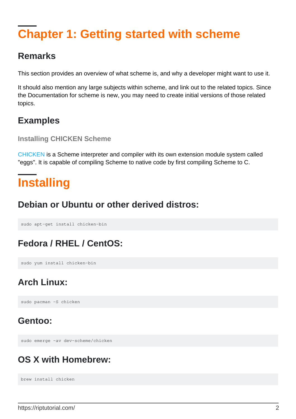# <span id="page-4-0"></span>**Chapter 1: Getting started with scheme**

### <span id="page-4-1"></span>**Remarks**

This section provides an overview of what scheme is, and why a developer might want to use it.

It should also mention any large subjects within scheme, and link out to the related topics. Since the Documentation for scheme is new, you may need to create initial versions of those related topics.

### <span id="page-4-2"></span>**Examples**

<span id="page-4-3"></span>**Installing CHICKEN Scheme**

[CHICKEN](https://call-cc.org) is a Scheme interpreter and compiler with its own extension module system called "eggs". It is capable of compiling Scheme to native code by first compiling Scheme to C.

# <span id="page-4-4"></span>**Installing**

### <span id="page-4-5"></span>**Debian or Ubuntu or other derived distros:**

sudo apt-get install chicken-bin

# <span id="page-4-6"></span>**Fedora / RHEL / CentOS:**

sudo yum install chicken-bin

# <span id="page-4-7"></span>**Arch Linux:**

sudo pacman -S chicken

# <span id="page-4-8"></span>**Gentoo:**

sudo emerge -av dev-scheme/chicken

# <span id="page-4-9"></span>**OS X with Homebrew:**

brew install chicken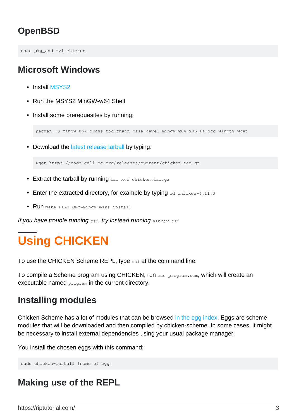### <span id="page-5-0"></span>**OpenBSD**

doas pkg\_add -vi chicken

## <span id="page-5-1"></span>**Microsoft Windows**

- Install [MSYS2](https://msys2.github.io)
- Run the MSYS2 MinGW-w64 Shell
- Install some prerequesites by running:

pacman -S mingw-w64-cross-toolchain base-devel mingw-w64-x86\_64-gcc winpty wget

• Download the [latest release tarball](https://code.call-cc.org/releases/current/) by typing:

wget https://code.call-cc.org/releases/current/chicken.tar.gz

- Extract the tarball by running tar xvf chicken.tar.gz
- Enter the extracted directory, for example by typing cd chicken-4.11.0
- Run make PLATFORM=mingw-msys install

<span id="page-5-2"></span>If you have trouble running *csi*, try instead running *winpty csi*

# **Using CHICKEN**

To use the CHICKEN Scheme REPL, type csi at the command line.

To compile a Scheme program using CHICKEN, run csc program.scm, which will create an executable named program in the current directory.

#### <span id="page-5-3"></span>**Installing modules**

Chicken Scheme has a lot of modules that can be browsed [in the egg index.](http://wiki.call-cc.org/chicken-projects/egg-index-4.html) Eggs are scheme modules that will be downloaded and then compiled by chicken-scheme. In some cases, it might be necessary to install external dependencies using your usual package manager.

You install the chosen eggs with this command:

```
sudo chicken-install [name of egg]
```
### <span id="page-5-4"></span>**Making use of the REPL**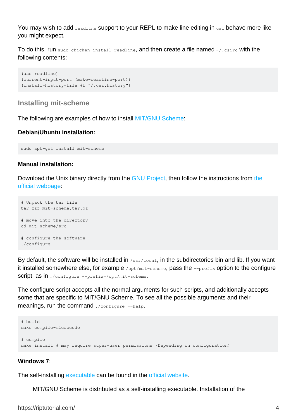You may wish to add  $_{\text{readline}}$  support to your REPL to make line editing in  $_{\text{csi}}$  behave more like you might expect.

To do this, run sudo chicken-install readline, and then create a file named ~/.csirc with the following contents:

```
(use readline)
(current-input-port (make-readline-port))
(install-history-file #f "/.csi.history")
```
#### <span id="page-6-0"></span>**Installing mit-scheme**

The following are examples of how to install [MIT/GNU Scheme](https://www.gnu.org/software/mit-scheme/):

#### **Debian/Ubuntu installation:**

sudo apt-get install mit-scheme

#### **Manual installation:**

Download the Unix binary directly from the [GNU Project](https://www.gnu.org/software/mit-scheme/), [the](https://www.gnu.org/software/mit-scheme/documentation/mit-scheme-user/Unix-Installation.html)n follow the instructions from the [official webpage](https://www.gnu.org/software/mit-scheme/documentation/mit-scheme-user/Unix-Installation.html):

```
# Unpack the tar file
tar xzf mit-scheme.tar.gz
# move into the directory
cd mit-scheme/src
# configure the software
./configure
```
By default, the software will be installed in /usr/local, in the subdirectories bin and lib. If you want it installed somewhere else, for example  $\sqrt{\frac{opt}{m}t-scheme}$ , pass the  $\sqrt{-p}r$ efix option to the configure script, as in ./configure --prefix=/opt/mit-scheme.

The configure script accepts all the normal arguments for such scripts, and additionally accepts some that are specific to MIT/GNU Scheme. To see all the possible arguments and their meanings, run the command ./configure --help.

```
# build
make compile-microcode
# compile
make install # may require super-user permissions (Depending on configuration)
```
#### **Windows 7**:

The self-installing [executable](http://ftp.gnu.org/gnu/mit-scheme/stable.pkg/9.2/mit-scheme-9.2-i386-win32.exe) can be found in the [official website.](http://ftp.gnu.org/gnu/mit-scheme/stable.pkg/9.2/mit-scheme-9.2-i386-win32.exe)

MIT/GNU Scheme is distributed as a self-installing executable. Installation of the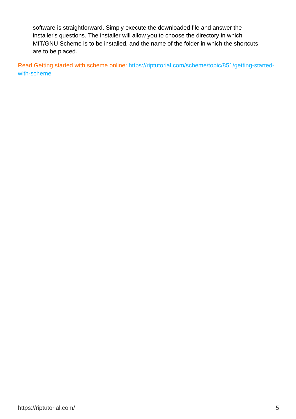software is straightforward. Simply execute the downloaded file and answer the installer's questions. The installer will allow you to choose the directory in which MIT/GNU Scheme is to be installed, and the name of the folder in which the shortcuts are to be placed.

Read Getting started with scheme online: [https://riptutorial.com/scheme/topic/851/getting-started](https://riptutorial.com/scheme/topic/851/getting-started-with-scheme)[with-scheme](https://riptutorial.com/scheme/topic/851/getting-started-with-scheme)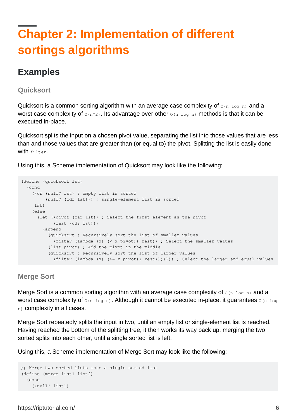# <span id="page-8-0"></span>**Chapter 2: Implementation of different sortings algorithms**

### <span id="page-8-1"></span>**Examples**

<span id="page-8-2"></span>**Quicksort**

Quicksort is a common sorting algorithm with an average case complexity of  $O(n \log n)$  and a worst case complexity of  $O(n^2)$ . Its advantage over other  $O(n \log n)$  methods is that it can be executed in-place.

Quicksort splits the input on a chosen pivot value, separating the list into those values that are less than and those values that are greater than (or equal to) the pivot. Splitting the list is easily done with filter.

Using this, a Scheme implementation of Quicksort may look like the following:

```
(define (quicksort lst)
  (cond
     ((or (null? lst) ; empty list is sorted
         (null? (cdr lst))) ; single-element list is sorted
     lst)
   (A \cap B) (let ((pivot (car lst)) ; Select the first element as the pivot
            (rest (cdr lst)))
        (append
          (quicksort ; Recursively sort the list of smaller values
            (filter (lambda (x) (< x pivot)) rest)) ; Select the smaller values
          (list pivot) ; Add the pivot in the middle
           (quicksort ; Recursively sort the list of larger values
            (filter (lambda (x) (>= x pivot) rest))))))) ; Select the larger and equal values
```
<span id="page-8-3"></span>**Merge Sort**

Merge Sort is a common sorting algorithm with an average case complexity of  $O(n \log n)$  and a worst case complexity of  $\circ$  (n log n). Although it cannot be executed in-place, it guarantees  $\circ$  (n log n) complexity in all cases.

Merge Sort repeatedly splits the input in two, until an empty list or single-element list is reached. Having reached the bottom of the splitting tree, it then works its way back up, merging the two sorted splits into each other, until a single sorted list is left.

Using this, a Scheme implementation of Merge Sort may look like the following:

```
;; Merge two sorted lists into a single sorted list
(define (merge list1 list2)
   (cond
     ((null? list1)
```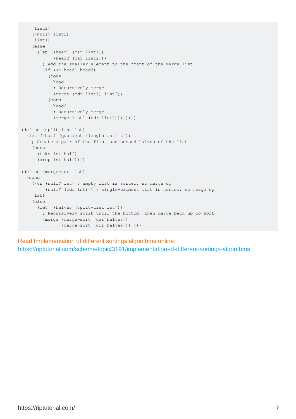```
 list2)
     ((null? list2)
     list1)
     (else
       (let ((head1 (car list1))
             (head2 (car list2)))
         ; Add the smaller element to the front of the merge list
         (if (<= head1 head2)
           (cons
             head1
             ; Recursively merge
             (merge (cdr list1) list2))
           (cons
             head2
             ; Recursively merge
             (merge list1 (cdr list2))))))))
(define (split-list lst)
   (let ((half (quotient (length lst) 2)))
     ; Create a pair of the first and second halves of the list
     (cons
       (take lst half)
       (drop lst half))))
(define (merge-sort lst)
   (cond
     ((or (null? lst) ; empty list is sorted, so merge up
          (null? (cdr lst))) ; single-element list is sorted, so merge up
     lst)
     (else
       (let ((halves (split-list lst)))
         ; Recursively split until the bottom, then merge back up to sort
         (merge (merge-sort (car halves))
                (merge-sort (cdr halves)))))))
```
Read Implementation of different sortings algorithms online: <https://riptutorial.com/scheme/topic/3191/implementation-of-different-sortings-algorithms>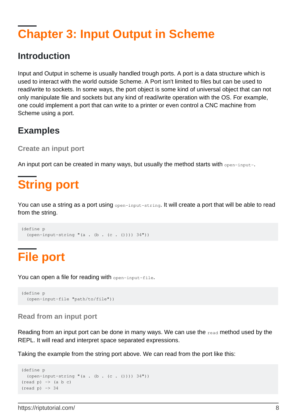# <span id="page-10-0"></span>**Chapter 3: Input Output in Scheme**

### <span id="page-10-1"></span>**Introduction**

Input and Output in scheme is usually handled trough ports. A port is a data structure which is used to interact with the world outside Scheme. A Port isn't limited to files but can be used to read/write to sockets. In some ways, the port object is some kind of universal object that can not only manipulate file and sockets but any kind of read/write operation with the OS. For example, one could implement a port that can write to a printer or even control a CNC machine from Scheme using a port.

## <span id="page-10-2"></span>**Examples**

<span id="page-10-3"></span>**Create an input port**

An input port can be created in many ways, but usually the method starts with open-input-.

# <span id="page-10-4"></span>**String port**

You can use a string as a port using open-input-string. It will create a port that will be able to read from the string.

```
(define p
  (open-input-string " (a . (b . (c . ()))) 34"))
```
# <span id="page-10-5"></span>**File port**

You can open a file for reading with open-input-file.

```
(define p
   (open-input-file "path/to/file"))
```
#### <span id="page-10-6"></span>**Read from an input port**

Reading from an input port can be done in many ways. We can use the read method used by the REPL. It will read and interpret space separated expressions.

Taking the example from the string port above. We can read from the port like this:

```
(define p
  (open-input - string " (a . (b . (c . ()))) 34"))(\text{read } p) \rightarrow (\text{a } b c)(\text{read } p) \rightarrow 34
```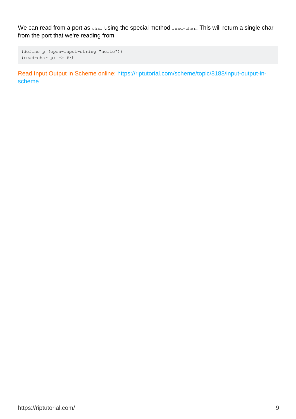We can read from a port as char using the special method read-char. This will return a single char from the port that we're reading from.

```
(define p (open-input-string "hello"))
(read-char p) -> #\h
```
Read Input Output in Scheme online: [https://riptutorial.com/scheme/topic/8188/input-output-in](https://riptutorial.com/scheme/topic/8188/input-output-in-scheme)[scheme](https://riptutorial.com/scheme/topic/8188/input-output-in-scheme)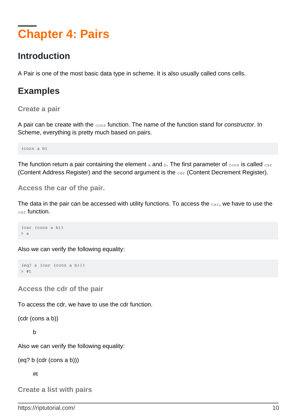# <span id="page-12-0"></span>**Chapter 4: Pairs**

### <span id="page-12-1"></span>**Introduction**

<span id="page-12-2"></span>A Pair is one of the most basic data type in scheme. It is also usually called cons cells.

### **Examples**

#### <span id="page-12-3"></span>**Create a pair**

A pair can be create with the cons function. The name of the function stand for constructor. In Scheme, everything is pretty much based on pairs.

(cons a b)

The function return a pair containing the element  $a$  and  $b$ . The first parameter of  $cons$  is called  $car$ (Content Address Register) and the second argument is the cdr (Content Decrement Register).

<span id="page-12-4"></span>**Access the car of the pair.**

The data in the pair can be accessed with utility functions. To access the car, we have to use the car function.

```
(car (cons a b))
> a
```
Also we can verify the following equality:

```
(eq? a (car (cons a b)))
>#t
```
<span id="page-12-5"></span>**Access the cdr of the pair**

To access the cdr, we have to use the cdr function.

(cdr (cons a b))

b

Also we can verify the following equality:

(eq? b (cdr (cons a b)))

#t

<span id="page-12-6"></span>**Create a list with pairs**

https://riptutorial.com/ 10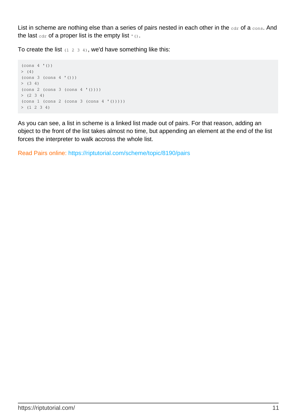List in scheme are nothing else than a series of pairs nested in each other in the cdr of a cons. And the last  $ext{cdr}$  of a proper list is the empty list  $\cdot$  ().

To create the list  $(1\ 2\ 3\ 4)$ , we'd have something like this:

```
(cons 4 '())
> (4)(cons 3 (cons 4 '()))
> (3 4)(cons 2 (cons 3 (cons 4 '())))> (2 \ 3 \ 4)(cons 1 (cons 2 (cons 3 (cons 4 '()))))
> (1 2 3 4)
```
As you can see, a list in scheme is a linked list made out of pairs. For that reason, adding an object to the front of the list takes almost no time, but appending an element at the end of the list forces the interpreter to walk accross the whole list.

Read Pairs online:<https://riptutorial.com/scheme/topic/8190/pairs>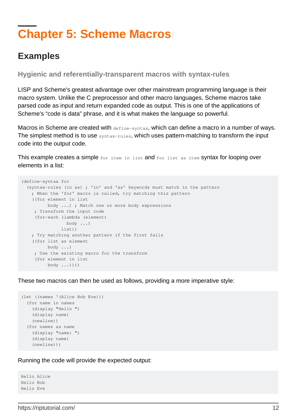# <span id="page-14-0"></span>**Chapter 5: Scheme Macros**

### <span id="page-14-1"></span>**Examples**

<span id="page-14-2"></span>**Hygienic and referentially-transparent macros with syntax-rules**

LISP and Scheme's greatest advantage over other mainstream programming language is their macro system. Unlike the C preprocessor and other macro languages, Scheme macros take parsed code as input and return expanded code as output. This is one of the applications of Scheme's "code is data" phrase, and it is what makes the language so powerful.

Macros in Scheme are created with define-syntax, which can define a macro in a number of ways. The simplest method is to use syntax-rules, which uses pattern-matching to transform the input code into the output code.

This example creates a simple for item in list and for list as item syntax for looping over elements in a list:

```
(define-syntax for
   (syntax-rules (in as) ; 'in' and 'as' keywords must match in the pattern
    ; When the 'for' macro is called, try matching this pattern
     ((for element in list
          body ...) ; Match one or more body expressions
     ; Transform the input code
     (for-each (lambda (element)
                 body ...)
               list))
    ; Try matching another pattern if the first fails
     ((for list as element
          body ...)
     ; Use the existing macro for the transform
     (for element in list
           body ...))))
```
These two macros can then be used as follows, providing a more imperative style:

```
(let ((names '(Alice Bob Eve)))
  (for name in names
    (display "Hello ")
    (display name)
    (newline))
  (for names as name
    (display "name: ")
    (display name)
    (newline)))
```
Running the code will provide the expected output:

Hello Alice Hello Bob Hello Eve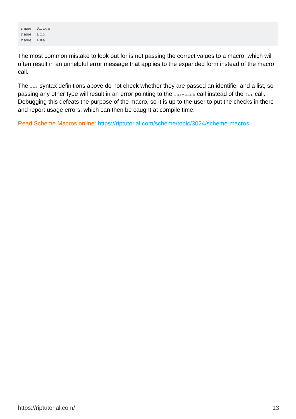```
name: Alice
name: Bob
name: Eve
```
The most common mistake to look out for is not passing the correct values to a macro, which will often result in an unhelpful error message that applies to the expanded form instead of the macro call.

The for syntax definitions above do not check whether they are passed an identifier and a list, so passing any other type will result in an error pointing to the for-each call instead of the for call. Debugging this defeats the purpose of the macro, so it is up to the user to put the checks in there and report usage errors, which can then be caught at compile time.

Read Scheme Macros online: <https://riptutorial.com/scheme/topic/3024/scheme-macros>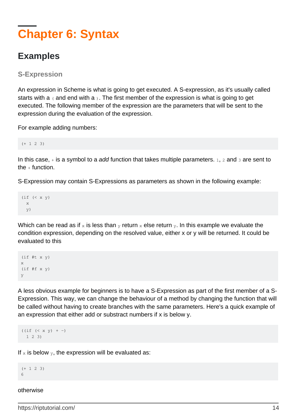# <span id="page-16-0"></span>**Chapter 6: Syntax**

### <span id="page-16-1"></span>**Examples**

<span id="page-16-2"></span>**S-Expression**

An expression in Scheme is what is going to get executed. A S-expression, as it's usually called starts with a  $($  and end with a  $)$ . The first member of the expression is what is going to get executed. The following member of the expression are the parameters that will be sent to the expression during the evaluation of the expression.

For example adding numbers:

(+ 1 2 3)

In this case,  $+$  is a symbol to a add function that takes multiple parameters. 1, 2 and 3 are sent to the  $+$  function.

S-Expression may contain S-Expressions as parameters as shown in the following example:

```
(if (< x y)
   x
   y)
```
Which can be read as if x is less than y return x else return y. In this example we evaluate the condition expression, depending on the resolved value, either x or y will be returned. It could be evaluated to this

```
(if #t x y)x
(if #f x y)y
```
A less obvious example for beginners is to have a S-Expression as part of the first member of a S-Expression. This way, we can change the behaviour of a method by changing the function that will be called without having to create branches with the same parameters. Here's a quick example of an expression that either add or substract numbers if x is below y.

 $((if (< x y) + -)$ 1 2 3)

If  $x$  is below  $y$ , the expression will be evaluated as:

 $(+ 1 2 3)$ 6

#### otherwise

https://riptutorial.com/ 14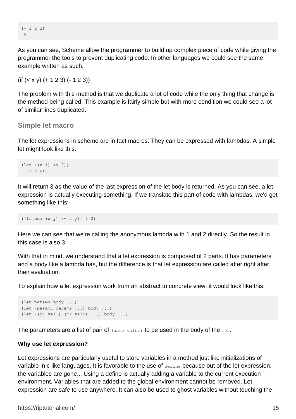$(- 1 2 3)$  $-4$ 

As you can see, Scheme allow the programmer to build up complex piece of code while giving the programmer the tools to prevent duplicating code. In other languages we could see the same example written as such:

(if (< x y) (+ 1 2 3) (- 1 2 3))

The problem with this method is that we duplicate a lot of code while the only thing that change is the method being called. This example is fairly simple but with more condition we could see a lot of similar lines duplicated.

<span id="page-17-0"></span>**Simple let macro**

The let expressions in scheme are in fact macros. They can be expressed with lambdas. A simple let might look like this:

```
(let ((x 1) (y 2))
   (+ x y))
```
It will return 3 as the value of the last expression of the let body is returned. As you can see, a letexpression is actually executing something. If we translate this part of code with lambdas, we'd get something like this:

```
((lambda (x y) (+ x y)) 1 2)
```
Here we can see that we're calling the anonymous lambda with 1 and 2 directly. So the result in this case is also 3.

With that in mind, we understand that a let expression is composed of 2 parts. It has parameters and a body like a lambda has, but the difference is that let expression are called after right after their evaluation.

To explain how a let expression work from an abstract to concrete view, it would look like this.

```
(let params body ...)
(let (param1 param2 ...) body ...)
(let ((p1 val1) (p2 val2) ...) body ...)
```
The parameters are a list of pair of (name value) to be used in the body of the let.

#### **Why use let expression?**

Let expressions are particularly useful to store variables in a method just like initializations of variable in c like languages. It is favorable to the use of define because out of the let expression, the variables are gone... Using a define is actually adding a variable to the current execution environment. Variables that are added to the global environment cannot be removed. Let expression are safe to use anywhere. It can also be used to ghost variables without touching the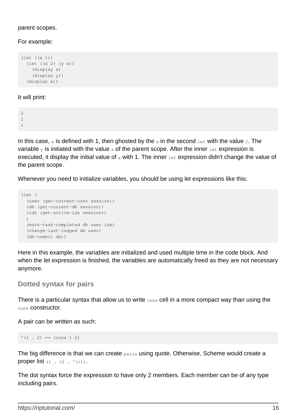#### parent scopes.

#### For example:

```
(let ((x 1))
   (let ((x 2) (y x))
     (display x)
     (display y))
   (display x))
```
#### It will print:

2 1 1

In this case, x is defined with 1, then ghosted by the x in the second  $l$  et with the value 2. The variable  $\gamma$  is initiated with the value x of the parent scope. After the inner  $\text{let}$  expression is executed, it display the initial value of  $x$  with 1. The inner  $letlet$  expression didn't change the value of the parent scope.

Whenever you need to initialize variables, you should be using let expressions like this:

```
(let (
   (user (get-current-user session))
   (db (get-current-db session))
  (ids (get-active-ids session))
  )
  (mark-task-completed db user ids)
   (change-last-logged db user)
   (db-commit db))
```
Here in this example, the variables are initialized and used multiple time in the code block. And when the let expression is finished, the variables are automatically freed as they are not necessary anymore.

#### <span id="page-18-0"></span>**Dotted syntax for pairs**

There is a particular syntax that allow us to write cons cell in a more compact way than using the cons constructor.

A pair can be written as such:

```
'(1 \cdot 2) == (cons 1 2)
```
The big difference is that we can create pairs using quote. Otherwise, Scheme would create a proper list  $(1 \tcdot (2 \tcdot '())$ .

The dot syntax force the expression to have only 2 members. Each member can be of any type including pairs.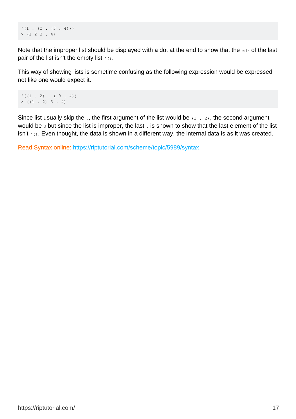```
(1 \cdot (2 \cdot (3 \cdot 4))))> (1 2 3 . 4)
```
Note that the improper list should be displayed with a dot at the end to show that the  $_{\text{cdr}}$  of the last pair of the list isn't the empty list  $( )$ .

This way of showing lists is sometime confusing as the following expression would be expressed not like one would expect it.

 $'((1 \cdot 2) \cdot (3 \cdot 4))$  $> ((1 \cdot 2) 3 \cdot 4)$ 

Since list usually skip the ., the first argument of the list would be  $(1 \cdot 2)$ , the second argument would be 3 but since the list is improper, the last . is shown to show that the last element of the list  $isn't$  '(). Even thought, the data is shown in a different way, the internal data is as it was created.

Read Syntax online: <https://riptutorial.com/scheme/topic/5989/syntax>